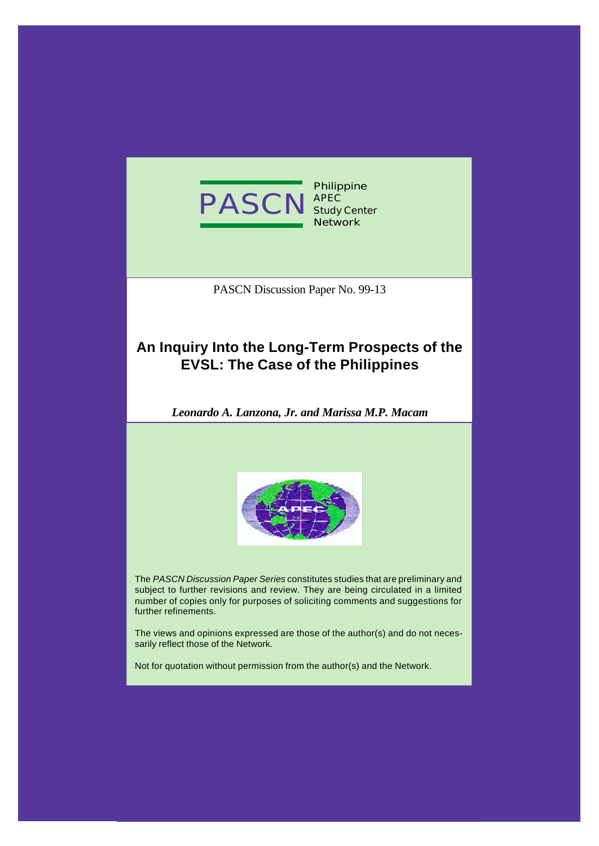

**Philippine APEC Study Center Network**

PASCN Discussion Paper No. 99-13

# **An Inquiry Into the Long-Term Prospects of the EVSL: The Case of the Philippines**

*Leonardo A. Lanzona, Jr. and Marissa M.P. Macam*



The *PASCN Discussion Paper Series* constitutes studies that are preliminary and subject to further revisions and review. They are being circulated in a limited number of copies only for purposes of soliciting comments and suggestions for further refinements.

The views and opinions expressed are those of the author(s) and do not necessarily reflect those of the Network.

Not for quotation without permission from the author(s) and the Network.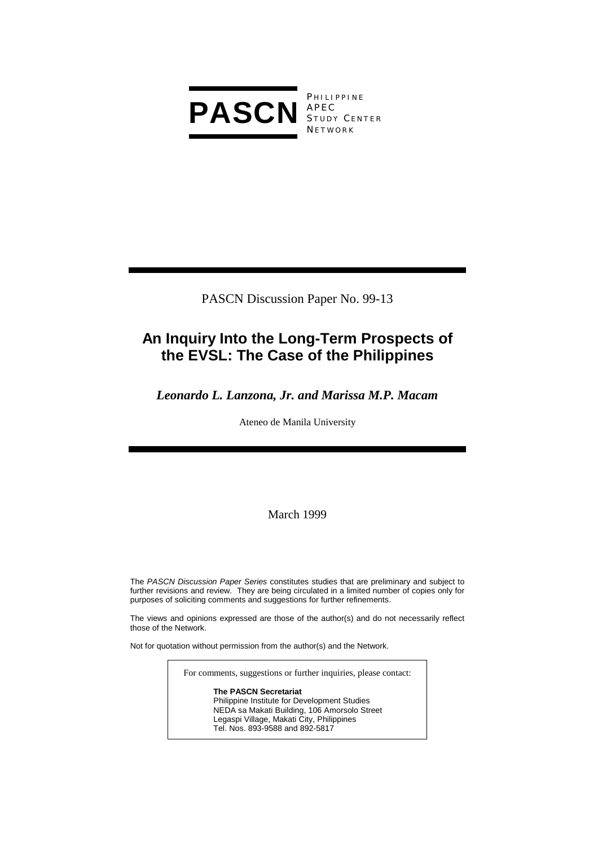

**PHILIPPINE** S TUDY C ENTER **NETWORK** 

PASCN Discussion Paper No. 99-13

# **An Inquiry Into the Long-Term Prospects of the EVSL: The Case of the Philippines**

# *Leonardo L. Lanzona, Jr. and Marissa M.P. Macam*

Ateneo de Manila University

March 1999

The *PASCN Discussion Paper Series* constitutes studies that are preliminary and subject to further revisions and review. They are being circulated in a limited number of copies only for purposes of soliciting comments and suggestions for further refinements.

The views and opinions expressed are those of the author(s) and do not necessarily reflect those of the Network.

Not for quotation without permission from the author(s) and the Network.

For comments, suggestions or further inquiries, please contact:

**The PASCN Secretariat** Philippine Institute for Development Studies NEDA sa Makati Building, 106 Amorsolo Street Legaspi Village, Makati City, Philippines Tel. Nos. 893-9588 and 892-5817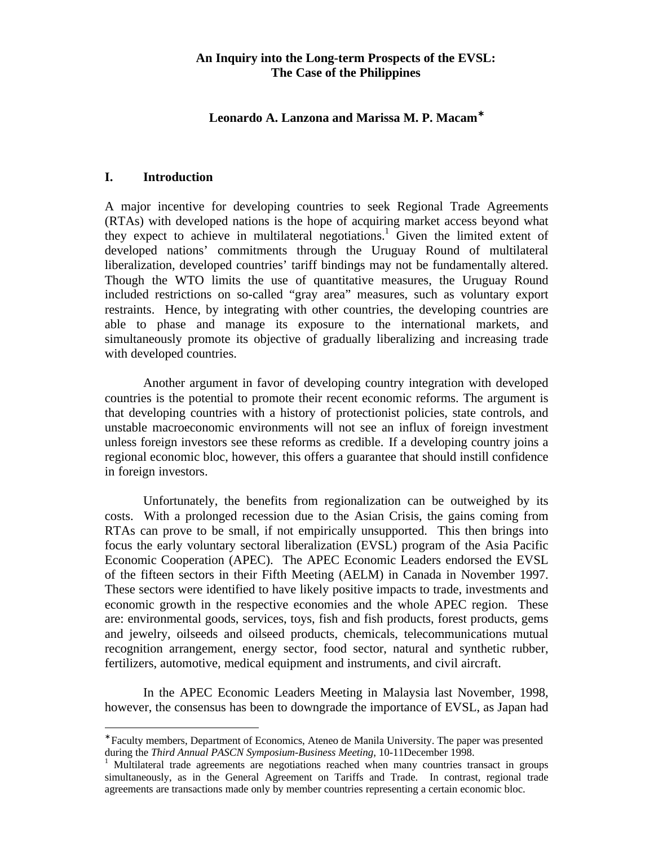## **An Inquiry into the Long-term Prospects of the EVSL: The Case of the Philippines**

# **Leonardo A. Lanzona and Marissa M. P. Macam**<sup>∗</sup>

# **I. Introduction**

-

A major incentive for developing countries to seek Regional Trade Agreements (RTAs) with developed nations is the hope of acquiring market access beyond what they expect to achieve in multilateral negotiations.<sup>1</sup> Given the limited extent of developed nations' commitments through the Uruguay Round of multilateral liberalization, developed countries' tariff bindings may not be fundamentally altered. Though the WTO limits the use of quantitative measures, the Uruguay Round included restrictions on so-called "gray area" measures, such as voluntary export restraints. Hence, by integrating with other countries, the developing countries are able to phase and manage its exposure to the international markets, and simultaneously promote its objective of gradually liberalizing and increasing trade with developed countries.

Another argument in favor of developing country integration with developed countries is the potential to promote their recent economic reforms. The argument is that developing countries with a history of protectionist policies, state controls, and unstable macroeconomic environments will not see an influx of foreign investment unless foreign investors see these reforms as credible. If a developing country joins a regional economic bloc, however, this offers a guarantee that should instill confidence in foreign investors.

Unfortunately, the benefits from regionalization can be outweighed by its costs. With a prolonged recession due to the Asian Crisis, the gains coming from RTAs can prove to be small, if not empirically unsupported. This then brings into focus the early voluntary sectoral liberalization (EVSL) program of the Asia Pacific Economic Cooperation (APEC). The APEC Economic Leaders endorsed the EVSL of the fifteen sectors in their Fifth Meeting (AELM) in Canada in November 1997. These sectors were identified to have likely positive impacts to trade, investments and economic growth in the respective economies and the whole APEC region. These are: environmental goods, services, toys, fish and fish products, forest products, gems and jewelry, oilseeds and oilseed products, chemicals, telecommunications mutual recognition arrangement, energy sector, food sector, natural and synthetic rubber, fertilizers, automotive, medical equipment and instruments, and civil aircraft.

In the APEC Economic Leaders Meeting in Malaysia last November, 1998, however, the consensus has been to downgrade the importance of EVSL, as Japan had

<sup>∗</sup> Faculty members, Department of Economics, Ateneo de Manila University. The paper was presented during the *Third Annual PASCN Symposium-Business Meeting*, 10-11December 1998.

<sup>1</sup> Multilateral trade agreements are negotiations reached when many countries transact in groups simultaneously, as in the General Agreement on Tariffs and Trade. In contrast, regional trade agreements are transactions made only by member countries representing a certain economic bloc.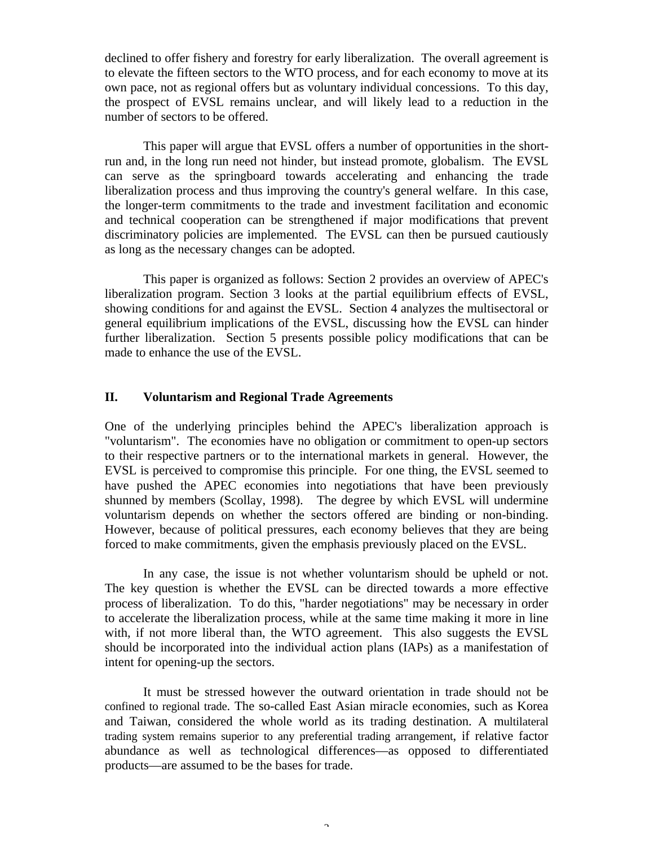declined to offer fishery and forestry for early liberalization. The overall agreement is to elevate the fifteen sectors to the WTO process, and for each economy to move at its own pace, not as regional offers but as voluntary individual concessions. To this day, the prospect of EVSL remains unclear, and will likely lead to a reduction in the number of sectors to be offered.

This paper will argue that EVSL offers a number of opportunities in the shortrun and, in the long run need not hinder, but instead promote, globalism. The EVSL can serve as the springboard towards accelerating and enhancing the trade liberalization process and thus improving the country's general welfare. In this case, the longer-term commitments to the trade and investment facilitation and economic and technical cooperation can be strengthened if major modifications that prevent discriminatory policies are implemented. The EVSL can then be pursued cautiously as long as the necessary changes can be adopted.

This paper is organized as follows: Section 2 provides an overview of APEC's liberalization program. Section 3 looks at the partial equilibrium effects of EVSL, showing conditions for and against the EVSL. Section 4 analyzes the multisectoral or general equilibrium implications of the EVSL, discussing how the EVSL can hinder further liberalization. Section 5 presents possible policy modifications that can be made to enhance the use of the EVSL.

# **II. Voluntarism and Regional Trade Agreements**

One of the underlying principles behind the APEC's liberalization approach is "voluntarism". The economies have no obligation or commitment to open-up sectors to their respective partners or to the international markets in general. However, the EVSL is perceived to compromise this principle. For one thing, the EVSL seemed to have pushed the APEC economies into negotiations that have been previously shunned by members (Scollay, 1998). The degree by which EVSL will undermine voluntarism depends on whether the sectors offered are binding or non-binding. However, because of political pressures, each economy believes that they are being forced to make commitments, given the emphasis previously placed on the EVSL.

In any case, the issue is not whether voluntarism should be upheld or not. The key question is whether the EVSL can be directed towards a more effective process of liberalization. To do this, "harder negotiations" may be necessary in order to accelerate the liberalization process, while at the same time making it more in line with, if not more liberal than, the WTO agreement. This also suggests the EVSL should be incorporated into the individual action plans (IAPs) as a manifestation of intent for opening-up the sectors.

It must be stressed however the outward orientation in trade should not be confined to regional trade. The so-called East Asian miracle economies, such as Korea and Taiwan, considered the whole world as its trading destination. A multilateral trading system remains superior to any preferential trading arrangement, if relative factor abundance as well as technological differences—as opposed to differentiated products—are assumed to be the bases for trade.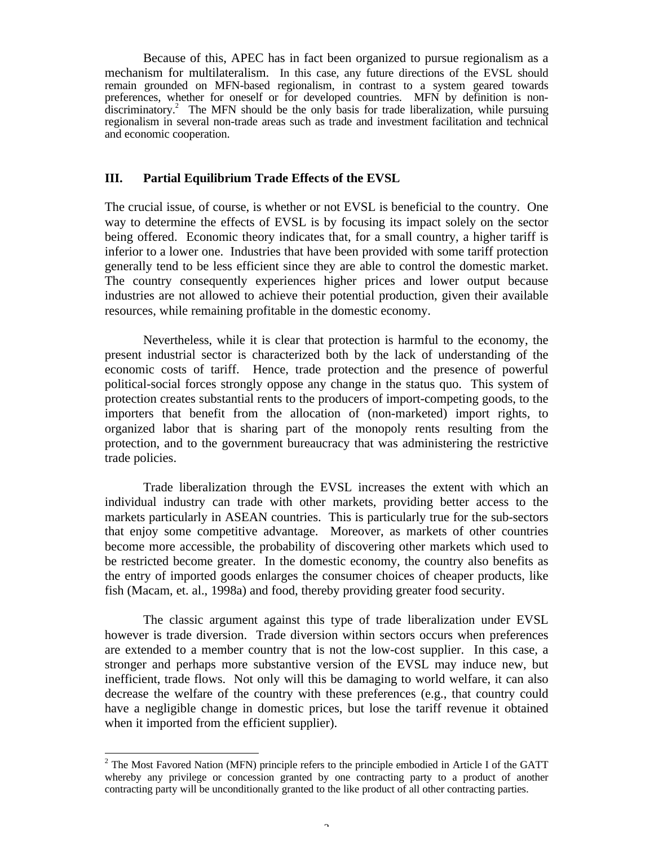Because of this, APEC has in fact been organized to pursue regionalism as a mechanism for multilateralism. In this case, any future directions of the EVSL should remain grounded on MFN-based regionalism, in contrast to a system geared towards preferences, whether for oneself or for developed countries. MFN by definition is nondiscriminatory.<sup>2</sup> The MFN should be the only basis for trade liberalization, while pursuing regionalism in several non-trade areas such as trade and investment facilitation and technical and economic cooperation.

#### **III. Partial Equilibrium Trade Effects of the EVSL**

The crucial issue, of course, is whether or not EVSL is beneficial to the country. One way to determine the effects of EVSL is by focusing its impact solely on the sector being offered. Economic theory indicates that, for a small country, a higher tariff is inferior to a lower one. Industries that have been provided with some tariff protection generally tend to be less efficient since they are able to control the domestic market. The country consequently experiences higher prices and lower output because industries are not allowed to achieve their potential production, given their available resources, while remaining profitable in the domestic economy.

Nevertheless, while it is clear that protection is harmful to the economy, the present industrial sector is characterized both by the lack of understanding of the economic costs of tariff. Hence, trade protection and the presence of powerful political-social forces strongly oppose any change in the status quo. This system of protection creates substantial rents to the producers of import-competing goods, to the importers that benefit from the allocation of (non-marketed) import rights, to organized labor that is sharing part of the monopoly rents resulting from the protection, and to the government bureaucracy that was administering the restrictive trade policies.

Trade liberalization through the EVSL increases the extent with which an individual industry can trade with other markets, providing better access to the markets particularly in ASEAN countries. This is particularly true for the sub-sectors that enjoy some competitive advantage. Moreover, as markets of other countries become more accessible, the probability of discovering other markets which used to be restricted become greater. In the domestic economy, the country also benefits as the entry of imported goods enlarges the consumer choices of cheaper products, like fish (Macam, et. al., 1998a) and food, thereby providing greater food security.

The classic argument against this type of trade liberalization under EVSL however is trade diversion. Trade diversion within sectors occurs when preferences are extended to a member country that is not the low-cost supplier. In this case, a stronger and perhaps more substantive version of the EVSL may induce new, but inefficient, trade flows. Not only will this be damaging to world welfare, it can also decrease the welfare of the country with these preferences (e.g., that country could have a negligible change in domestic prices, but lose the tariff revenue it obtained when it imported from the efficient supplier).

-

 $2$  The Most Favored Nation (MFN) principle refers to the principle embodied in Article I of the GATT whereby any privilege or concession granted by one contracting party to a product of another contracting party will be unconditionally granted to the like product of all other contracting parties.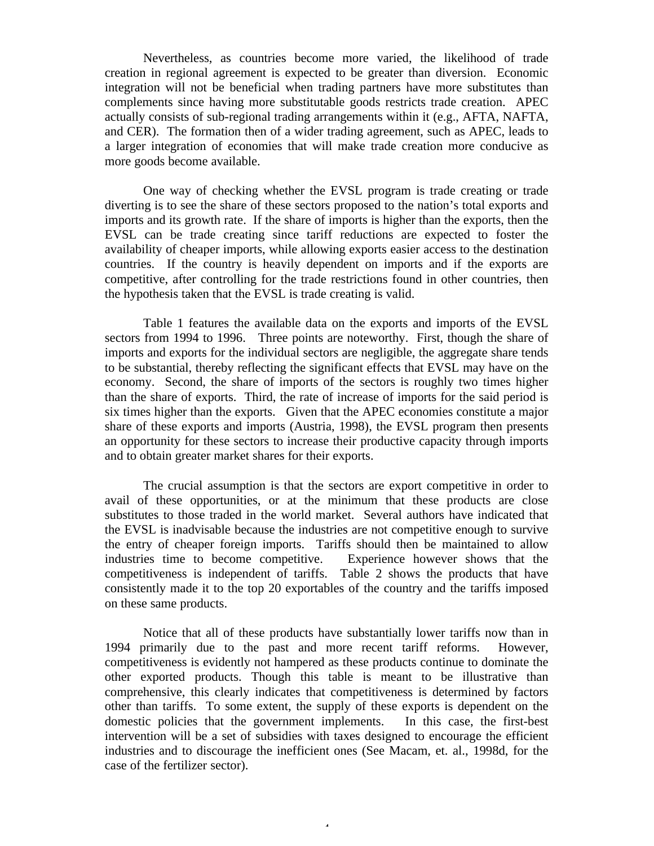Nevertheless, as countries become more varied, the likelihood of trade creation in regional agreement is expected to be greater than diversion. Economic integration will not be beneficial when trading partners have more substitutes than complements since having more substitutable goods restricts trade creation. APEC actually consists of sub-regional trading arrangements within it (e.g., AFTA, NAFTA, and CER). The formation then of a wider trading agreement, such as APEC, leads to a larger integration of economies that will make trade creation more conducive as more goods become available.

One way of checking whether the EVSL program is trade creating or trade diverting is to see the share of these sectors proposed to the nation's total exports and imports and its growth rate. If the share of imports is higher than the exports, then the EVSL can be trade creating since tariff reductions are expected to foster the availability of cheaper imports, while allowing exports easier access to the destination countries. If the country is heavily dependent on imports and if the exports are competitive, after controlling for the trade restrictions found in other countries, then the hypothesis taken that the EVSL is trade creating is valid.

Table 1 features the available data on the exports and imports of the EVSL sectors from 1994 to 1996. Three points are noteworthy. First, though the share of imports and exports for the individual sectors are negligible, the aggregate share tends to be substantial, thereby reflecting the significant effects that EVSL may have on the economy. Second, the share of imports of the sectors is roughly two times higher than the share of exports. Third, the rate of increase of imports for the said period is six times higher than the exports. Given that the APEC economies constitute a major share of these exports and imports (Austria, 1998), the EVSL program then presents an opportunity for these sectors to increase their productive capacity through imports and to obtain greater market shares for their exports.

The crucial assumption is that the sectors are export competitive in order to avail of these opportunities, or at the minimum that these products are close substitutes to those traded in the world market. Several authors have indicated that the EVSL is inadvisable because the industries are not competitive enough to survive the entry of cheaper foreign imports. Tariffs should then be maintained to allow industries time to become competitive. Experience however shows that the competitiveness is independent of tariffs. Table 2 shows the products that have consistently made it to the top 20 exportables of the country and the tariffs imposed on these same products.

Notice that all of these products have substantially lower tariffs now than in 1994 primarily due to the past and more recent tariff reforms. However, competitiveness is evidently not hampered as these products continue to dominate the other exported products. Though this table is meant to be illustrative than comprehensive, this clearly indicates that competitiveness is determined by factors other than tariffs. To some extent, the supply of these exports is dependent on the domestic policies that the government implements. In this case, the first-best intervention will be a set of subsidies with taxes designed to encourage the efficient industries and to discourage the inefficient ones (See Macam, et. al., 1998d, for the case of the fertilizer sector).

4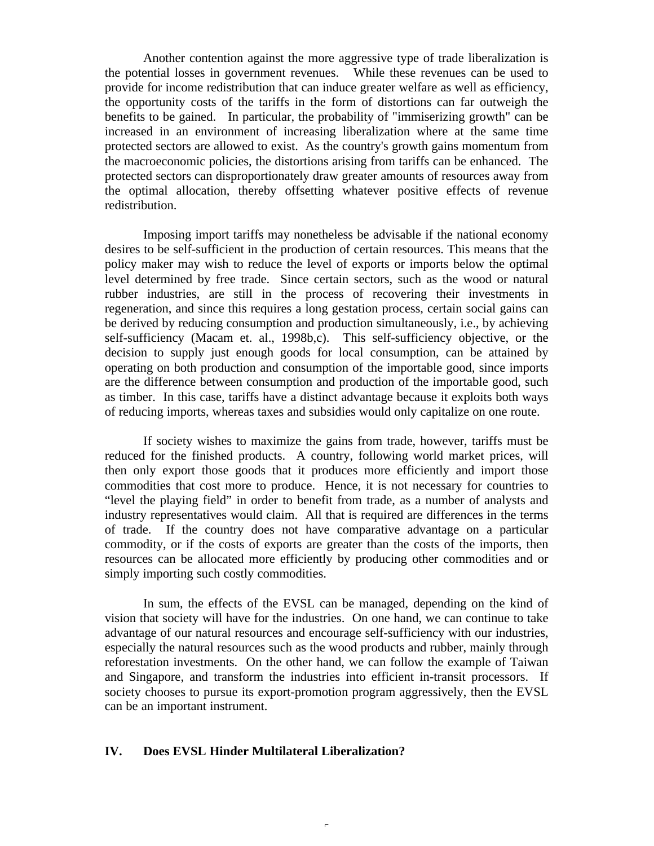Another contention against the more aggressive type of trade liberalization is the potential losses in government revenues. While these revenues can be used to provide for income redistribution that can induce greater welfare as well as efficiency, the opportunity costs of the tariffs in the form of distortions can far outweigh the benefits to be gained. In particular, the probability of "immiserizing growth" can be increased in an environment of increasing liberalization where at the same time protected sectors are allowed to exist. As the country's growth gains momentum from the macroeconomic policies, the distortions arising from tariffs can be enhanced. The protected sectors can disproportionately draw greater amounts of resources away from the optimal allocation, thereby offsetting whatever positive effects of revenue redistribution.

Imposing import tariffs may nonetheless be advisable if the national economy desires to be self-sufficient in the production of certain resources. This means that the policy maker may wish to reduce the level of exports or imports below the optimal level determined by free trade. Since certain sectors, such as the wood or natural rubber industries, are still in the process of recovering their investments in regeneration, and since this requires a long gestation process, certain social gains can be derived by reducing consumption and production simultaneously, i.e., by achieving self-sufficiency (Macam et. al., 1998b,c). This self-sufficiency objective, or the decision to supply just enough goods for local consumption, can be attained by operating on both production and consumption of the importable good, since imports are the difference between consumption and production of the importable good, such as timber. In this case, tariffs have a distinct advantage because it exploits both ways of reducing imports, whereas taxes and subsidies would only capitalize on one route.

If society wishes to maximize the gains from trade, however, tariffs must be reduced for the finished products. A country, following world market prices, will then only export those goods that it produces more efficiently and import those commodities that cost more to produce. Hence, it is not necessary for countries to "level the playing field" in order to benefit from trade, as a number of analysts and industry representatives would claim. All that is required are differences in the terms of trade. If the country does not have comparative advantage on a particular commodity, or if the costs of exports are greater than the costs of the imports, then resources can be allocated more efficiently by producing other commodities and or simply importing such costly commodities.

In sum, the effects of the EVSL can be managed, depending on the kind of vision that society will have for the industries. On one hand, we can continue to take advantage of our natural resources and encourage self-sufficiency with our industries, especially the natural resources such as the wood products and rubber, mainly through reforestation investments. On the other hand, we can follow the example of Taiwan and Singapore, and transform the industries into efficient in-transit processors. If society chooses to pursue its export-promotion program aggressively, then the EVSL can be an important instrument.

## **IV. Does EVSL Hinder Multilateral Liberalization?**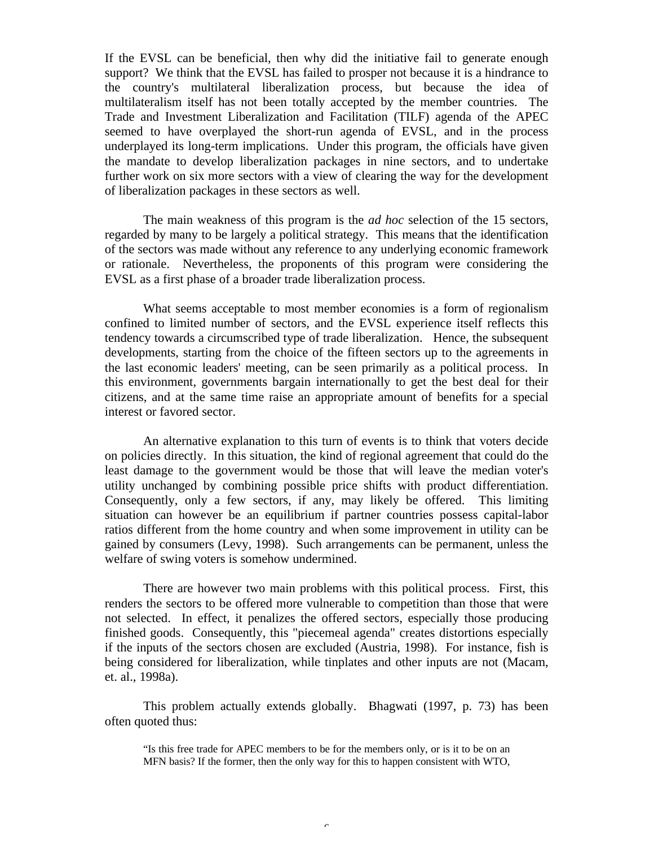If the EVSL can be beneficial, then why did the initiative fail to generate enough support? We think that the EVSL has failed to prosper not because it is a hindrance to the country's multilateral liberalization process, but because the idea of multilateralism itself has not been totally accepted by the member countries. The Trade and Investment Liberalization and Facilitation (TILF) agenda of the APEC seemed to have overplayed the short-run agenda of EVSL, and in the process underplayed its long-term implications. Under this program, the officials have given the mandate to develop liberalization packages in nine sectors, and to undertake further work on six more sectors with a view of clearing the way for the development of liberalization packages in these sectors as well.

The main weakness of this program is the *ad hoc* selection of the 15 sectors, regarded by many to be largely a political strategy. This means that the identification of the sectors was made without any reference to any underlying economic framework or rationale. Nevertheless, the proponents of this program were considering the EVSL as a first phase of a broader trade liberalization process.

What seems acceptable to most member economies is a form of regionalism confined to limited number of sectors, and the EVSL experience itself reflects this tendency towards a circumscribed type of trade liberalization. Hence, the subsequent developments, starting from the choice of the fifteen sectors up to the agreements in the last economic leaders' meeting, can be seen primarily as a political process. In this environment, governments bargain internationally to get the best deal for their citizens, and at the same time raise an appropriate amount of benefits for a special interest or favored sector.

An alternative explanation to this turn of events is to think that voters decide on policies directly. In this situation, the kind of regional agreement that could do the least damage to the government would be those that will leave the median voter's utility unchanged by combining possible price shifts with product differentiation. Consequently, only a few sectors, if any, may likely be offered. This limiting situation can however be an equilibrium if partner countries possess capital-labor ratios different from the home country and when some improvement in utility can be gained by consumers (Levy, 1998). Such arrangements can be permanent, unless the welfare of swing voters is somehow undermined.

There are however two main problems with this political process. First, this renders the sectors to be offered more vulnerable to competition than those that were not selected. In effect, it penalizes the offered sectors, especially those producing finished goods. Consequently, this "piecemeal agenda" creates distortions especially if the inputs of the sectors chosen are excluded (Austria, 1998). For instance, fish is being considered for liberalization, while tinplates and other inputs are not (Macam, et. al., 1998a).

This problem actually extends globally. Bhagwati (1997, p. 73) has been often quoted thus:

"Is this free trade for APEC members to be for the members only, or is it to be on an MFN basis? If the former, then the only way for this to happen consistent with WTO,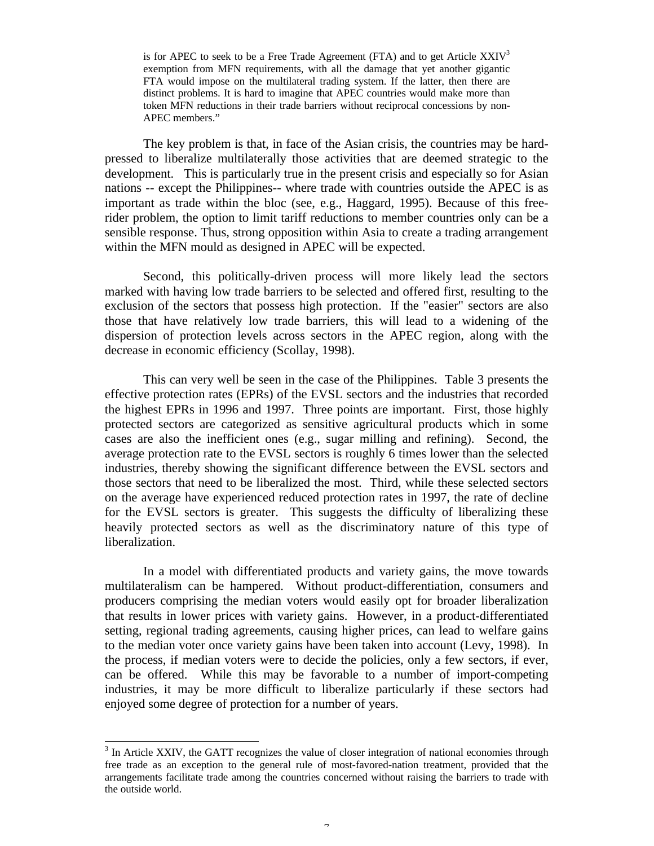is for APEC to seek to be a Free Trade Agreement (FTA) and to get Article  $XXIV<sup>3</sup>$ exemption from MFN requirements, with all the damage that yet another gigantic FTA would impose on the multilateral trading system. If the latter, then there are distinct problems. It is hard to imagine that APEC countries would make more than token MFN reductions in their trade barriers without reciprocal concessions by non-APEC members."

The key problem is that, in face of the Asian crisis, the countries may be hardpressed to liberalize multilaterally those activities that are deemed strategic to the development. This is particularly true in the present crisis and especially so for Asian nations -- except the Philippines-- where trade with countries outside the APEC is as important as trade within the bloc (see, e.g., Haggard, 1995). Because of this freerider problem, the option to limit tariff reductions to member countries only can be a sensible response. Thus, strong opposition within Asia to create a trading arrangement within the MFN mould as designed in APEC will be expected.

Second, this politically-driven process will more likely lead the sectors marked with having low trade barriers to be selected and offered first, resulting to the exclusion of the sectors that possess high protection. If the "easier" sectors are also those that have relatively low trade barriers, this will lead to a widening of the dispersion of protection levels across sectors in the APEC region, along with the decrease in economic efficiency (Scollay, 1998).

This can very well be seen in the case of the Philippines. Table 3 presents the effective protection rates (EPRs) of the EVSL sectors and the industries that recorded the highest EPRs in 1996 and 1997. Three points are important. First, those highly protected sectors are categorized as sensitive agricultural products which in some cases are also the inefficient ones (e.g., sugar milling and refining). Second, the average protection rate to the EVSL sectors is roughly 6 times lower than the selected industries, thereby showing the significant difference between the EVSL sectors and those sectors that need to be liberalized the most. Third, while these selected sectors on the average have experienced reduced protection rates in 1997, the rate of decline for the EVSL sectors is greater. This suggests the difficulty of liberalizing these heavily protected sectors as well as the discriminatory nature of this type of liberalization.

In a model with differentiated products and variety gains, the move towards multilateralism can be hampered. Without product-differentiation, consumers and producers comprising the median voters would easily opt for broader liberalization that results in lower prices with variety gains. However, in a product-differentiated setting, regional trading agreements, causing higher prices, can lead to welfare gains to the median voter once variety gains have been taken into account (Levy, 1998). In the process, if median voters were to decide the policies, only a few sectors, if ever, can be offered. While this may be favorable to a number of import-competing industries, it may be more difficult to liberalize particularly if these sectors had enjoyed some degree of protection for a number of years.

1

<sup>&</sup>lt;sup>3</sup> In Article XXIV, the GATT recognizes the value of closer integration of national economies through free trade as an exception to the general rule of most-favored-nation treatment, provided that the arrangements facilitate trade among the countries concerned without raising the barriers to trade with the outside world.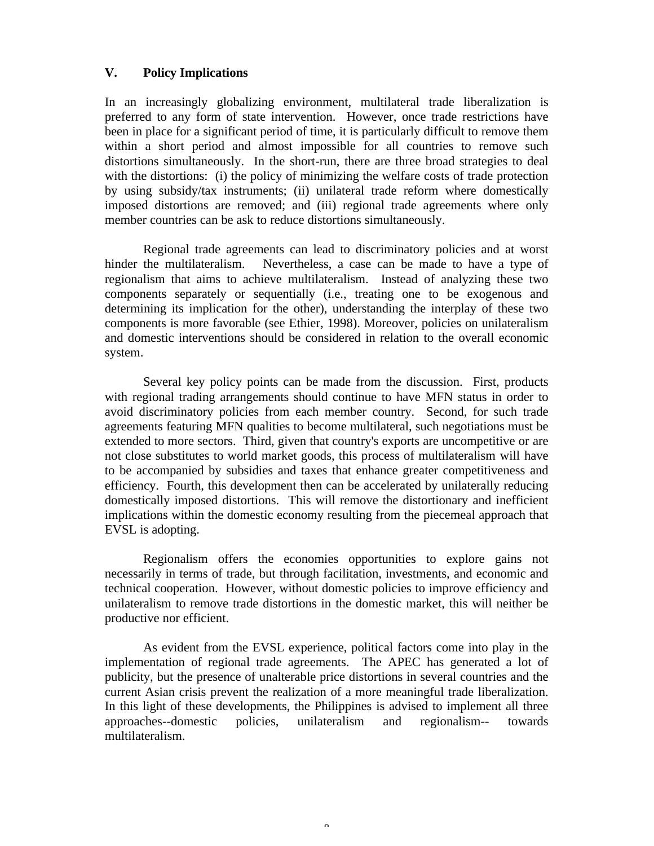# **V. Policy Implications**

In an increasingly globalizing environment, multilateral trade liberalization is preferred to any form of state intervention. However, once trade restrictions have been in place for a significant period of time, it is particularly difficult to remove them within a short period and almost impossible for all countries to remove such distortions simultaneously. In the short-run, there are three broad strategies to deal with the distortions: (i) the policy of minimizing the welfare costs of trade protection by using subsidy/tax instruments; (ii) unilateral trade reform where domestically imposed distortions are removed; and (iii) regional trade agreements where only member countries can be ask to reduce distortions simultaneously.

Regional trade agreements can lead to discriminatory policies and at worst hinder the multilateralism. Nevertheless, a case can be made to have a type of regionalism that aims to achieve multilateralism. Instead of analyzing these two components separately or sequentially (i.e., treating one to be exogenous and determining its implication for the other), understanding the interplay of these two components is more favorable (see Ethier, 1998). Moreover, policies on unilateralism and domestic interventions should be considered in relation to the overall economic system.

Several key policy points can be made from the discussion. First, products with regional trading arrangements should continue to have MFN status in order to avoid discriminatory policies from each member country. Second, for such trade agreements featuring MFN qualities to become multilateral, such negotiations must be extended to more sectors. Third, given that country's exports are uncompetitive or are not close substitutes to world market goods, this process of multilateralism will have to be accompanied by subsidies and taxes that enhance greater competitiveness and efficiency. Fourth, this development then can be accelerated by unilaterally reducing domestically imposed distortions. This will remove the distortionary and inefficient implications within the domestic economy resulting from the piecemeal approach that EVSL is adopting.

Regionalism offers the economies opportunities to explore gains not necessarily in terms of trade, but through facilitation, investments, and economic and technical cooperation. However, without domestic policies to improve efficiency and unilateralism to remove trade distortions in the domestic market, this will neither be productive nor efficient.

As evident from the EVSL experience, political factors come into play in the implementation of regional trade agreements. The APEC has generated a lot of publicity, but the presence of unalterable price distortions in several countries and the current Asian crisis prevent the realization of a more meaningful trade liberalization. In this light of these developments, the Philippines is advised to implement all three approaches--domestic policies, unilateralism and regionalism-- towards multilateralism.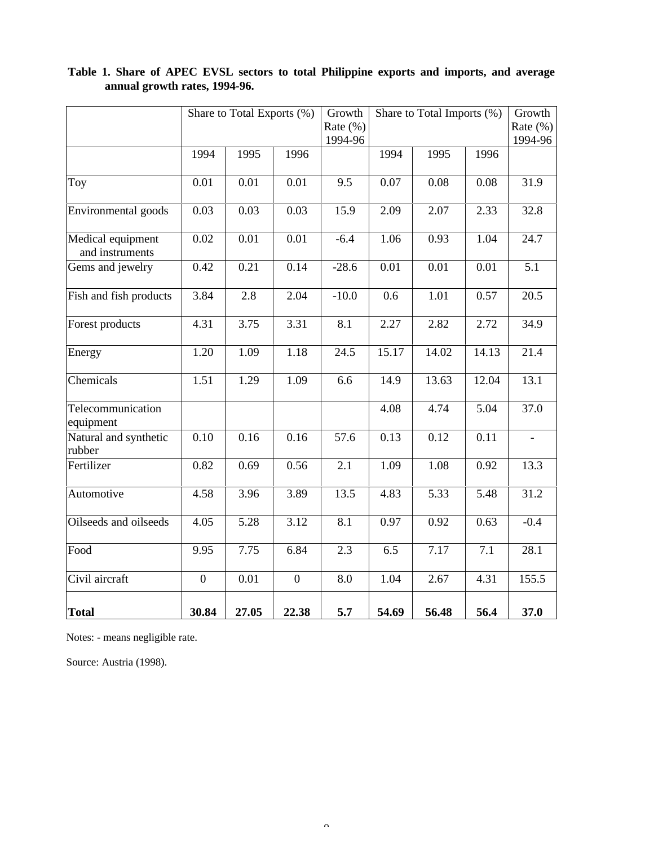|                                      | Share to Total Exports (%) |       |                | Growth<br>Rate $(\% )$ | Share to Total Imports (%) |                   |       | Growth<br>Rate $(\%)$<br>1994-96 |
|--------------------------------------|----------------------------|-------|----------------|------------------------|----------------------------|-------------------|-------|----------------------------------|
|                                      |                            |       |                | 1994-96                |                            |                   |       |                                  |
|                                      | 1994                       | 1995  | 1996           |                        | 1994                       | 1995              | 1996  |                                  |
| Toy                                  | 0.01                       | 0.01  | 0.01           | 9.5                    | 0.07                       | 0.08              | 0.08  | 31.9                             |
| Environmental goods                  | 0.03                       | 0.03  | 0.03           | 15.9                   | 2.09                       | 2.07              | 2.33  | 32.8                             |
| Medical equipment<br>and instruments | 0.02                       | 0.01  | 0.01           | $-6.4$                 | 1.06                       | 0.93              | 1.04  | 24.7                             |
| Gems and jewelry                     | 0.42                       | 0.21  | 0.14           | $-28.6$                | 0.01                       | 0.01              | 0.01  | $\overline{5.1}$                 |
| Fish and fish products               | 3.84                       | 2.8   | 2.04           | $-10.0$                | 0.6                        | 1.01              | 0.57  | $\overline{20.5}$                |
| Forest products                      | 4.31                       | 3.75  | 3.31           | 8.1                    | 2.27                       | 2.82              | 2.72  | 34.9                             |
| Energy                               | 1.20                       | 1.09  | 1.18           | 24.5                   | 15.17                      | 14.02             | 14.13 | 21.4                             |
| Chemicals                            | 1.51                       | 1.29  | 1.09           | 6.6                    | 14.9                       | 13.63             | 12.04 | 13.1                             |
| Telecommunication<br>equipment       |                            |       |                |                        | 4.08                       | 4.74              | 5.04  | 37.0                             |
| Natural and synthetic<br>rubber      | 0.10                       | 0.16  | 0.16           | 57.6                   | 0.13                       | 0.12              | 0.11  | $\overline{\phantom{a}}$         |
| Fertilizer                           | 0.82                       | 0.69  | 0.56           | 2.1                    | 1.09                       | 1.08              | 0.92  | 13.3                             |
| Automotive                           | 4.58                       | 3.96  | 3.89           | 13.5                   | 4.83                       | 5.33              | 5.48  | 31.2                             |
| Oilseeds and oilseeds                | 4.05                       | 5.28  | 3.12           | $\overline{8.1}$       | 0.97                       | 0.92              | 0.63  | $-0.4$                           |
| Food                                 | 9.95                       | 7.75  | 6.84           | 2.3                    | 6.5                        | $\overline{7.17}$ | 7.1   | 28.1                             |
| Civil aircraft                       | $\overline{0}$             | 0.01  | $\overline{0}$ | 8.0                    | 1.04                       | 2.67              | 4.31  | 155.5                            |
| <b>Total</b>                         | 30.84                      | 27.05 | 22.38          | 5.7                    | 54.69                      | 56.48             | 56.4  | 37.0                             |

# **Table 1. Share of APEC EVSL sectors to total Philippine exports and imports, and average annual growth rates, 1994-96.**

Notes: - means negligible rate.

Source: Austria (1998).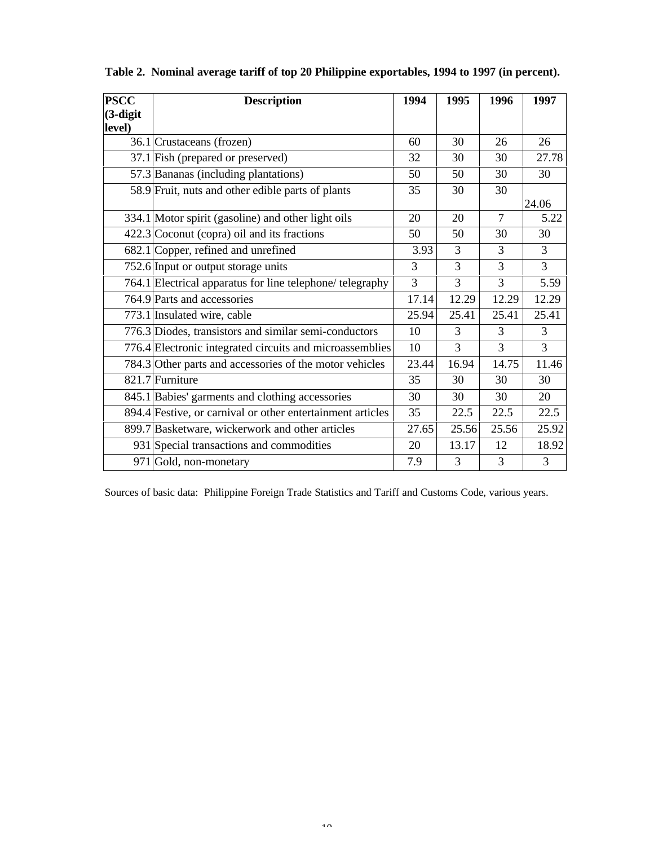| <b>PSCC</b> | <b>Description</b>                                         | 1994  | 1995  | 1996           | 1997           |
|-------------|------------------------------------------------------------|-------|-------|----------------|----------------|
| $(3-digit)$ |                                                            |       |       |                |                |
| level)      |                                                            |       |       |                |                |
|             | 36.1 Crustaceans (frozen)                                  | 60    | 30    | 26             | 26             |
|             | 37.1 Fish (prepared or preserved)                          | 32    | 30    | 30             | 27.78          |
|             | 57.3 Bananas (including plantations)                       | 50    | 50    | 30             | 30             |
|             | 58.9 Fruit, nuts and other edible parts of plants          | 35    | 30    | 30             |                |
|             |                                                            |       |       |                | 24.06          |
|             | 334.1 Motor spirit (gasoline) and other light oils         | 20    | 20    | $\tau$         | 5.22           |
|             | $422.3$ Coconut (copra) oil and its fractions              | 50    | 50    | 30             | 30             |
|             | 682.1 Copper, refined and unrefined                        | 3.93  | 3     | 3              | 3              |
|             | 752.6 Input or output storage units                        | 3     | 3     | 3              | $\overline{3}$ |
|             | 764.1 Electrical apparatus for line telephone/ telegraphy  | 3     | 3     | $\overline{3}$ | 5.59           |
|             | 764.9 Parts and accessories                                | 17.14 | 12.29 | 12.29          | 12.29          |
|             | 773.1 Insulated wire, cable                                | 25.94 | 25.41 | 25.41          | 25.41          |
|             | 776.3 Diodes, transistors and similar semi-conductors      | 10    | 3     | 3              | 3              |
|             | 776.4 Electronic integrated circuits and microassemblies   | 10    | 3     | 3              | $\overline{3}$ |
|             | 784.3 Other parts and accessories of the motor vehicles    | 23.44 | 16.94 | 14.75          | 11.46          |
|             | 821.7 Furniture                                            | 35    | 30    | 30             | 30             |
|             | 845.1 Babies' garments and clothing accessories            | 30    | 30    | 30             | 20             |
|             | 894.4 Festive, or carnival or other entertainment articles | 35    | 22.5  | 22.5           | 22.5           |
|             | 899.7 Basketware, wickerwork and other articles            | 27.65 | 25.56 | 25.56          | 25.92          |
|             | 931 Special transactions and commodities                   | 20    | 13.17 | 12             | 18.92          |
|             | 971 Gold, non-monetary                                     | 7.9   | 3     | 3              | 3              |

**Table 2. Nominal average tariff of top 20 Philippine exportables, 1994 to 1997 (in percent).**

Sources of basic data: Philippine Foreign Trade Statistics and Tariff and Customs Code, various years.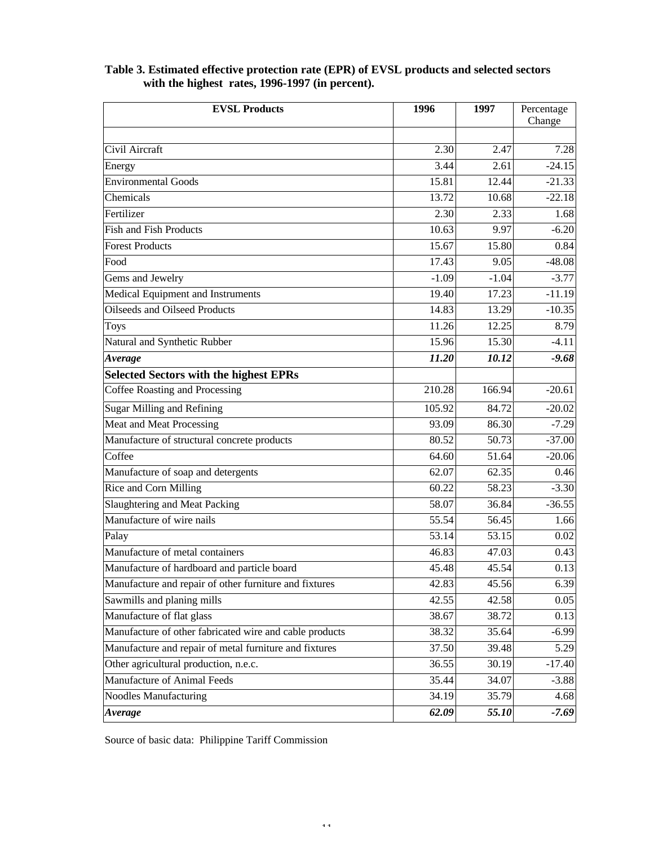# **EVSL Products** 1996 1997 Percentage Change Civil Aircraft 2.30 2.47 7.28 Energy 2.61 -24.15 Environmental Goods 15.81 12.44 -21.33 Chemicals 13.72 10.68 -22.18 Fertilizer 2.30 2.33 1.68 Fish and Fish Products  $\begin{array}{|c|c|c|c|c|c|c|c|c|} \hline \end{array}$  10.63 9.97 -6.20 **Forest Products** 2.5.67 15.80 0.84 Food  $17.43$  9.05  $-48.08$ Gems and Jewelry  $-1.09 -1.04 -3.77$ Medical Equipment and Instruments 19.40 17.23 -11.19 Oilseeds and Oilseed Products 14.83 13.29 -10.35 Toys 11.26 12.25 8.79 Natural and Synthetic Rubber 15.96 15.30 -4.11 *Average 11.20 10.12 -9.68* **Selected Sectors with the highest EPRs** Coffee Roasting and Processing 210.28 166.94 -20.61 Sugar Milling and Refining 105.92 84.72 -20.02 Meat and Meat Processing and Meat Processing and Meat Processing and Meat Processing and Meat Processing and Meat Processing and Meat Processing and Meat Processing and Meat Processing and Meat Processing and Meat Processi Manufacture of structural concrete products  $80.52$   $50.73$   $-37.00$  $\text{Coffee}$   $64.60$   $51.64$   $-20.06$ Manufacture of soap and detergents 62.07 62.35 0.46 Rice and Corn Milling 60.22 58.23 -3.30 Slaughtering and Meat Packing  $58.07$   $36.84$  -36.55 Manufacture of wire nails  $\begin{array}{ccc} 1.66 \\ 1.66 \end{array}$ Palay 53.14 53.15 0.02 Manufacture of metal containers  $\begin{array}{|l|c|c|c|c|c|c|c|} \hline 46.83 & 47.03 & 0.43 \ \hline \end{array}$ Manufacture of hardboard and particle board  $\begin{array}{ccc} 45.48 & 45.54 & 0.13 \\ 45.48 & 45.54 & 0.13 \\ 0.13 & 0.13 & 0.13 \\ \end{array}$ Manufacture and repair of other furniture and fixtures  $\begin{array}{|l}42.83 & 45.56 & 6.39 \end{array}$ Sawmills and planing mills  $42.55$  42.58 0.05 Manufacture of flat glass 38.67 38.67 38.72 0.13 Manufacture of other fabricated wire and cable products 38.32 35.64 -6.99 Manufacture and repair of metal furniture and fixtures 37.50 39.48 5.29 Other agricultural production, n.e.c. 36.55 30.19 -17.40 Manufacture of Animal Feeds 35.44 34.07 -3.88 Noodles Manufacturing 34.19 35.79 4.68

## **Table 3. Estimated effective protection rate (EPR) of EVSL products and selected sectors with the highest rates, 1996-1997 (in percent).**

Source of basic data: Philippine Tariff Commission

*Average 62.09 55.10 -7.69*